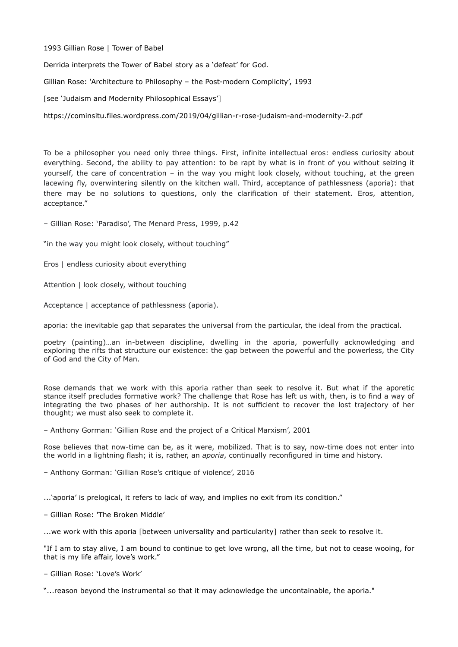## 1993 Gillian Rose | Tower of Babel

Derrida interprets the Tower of Babel story as a 'defeat' for God.

Gillian Rose: 'Architecture to Philosophy – the Post-modern Complicity', 1993

[see 'Judaism and Modernity Philosophical Essays']

https://cominsitu.files.wordpress.com/2019/04/gillian-r-rose-judaism-and-modernity-2.pdf

To be a philosopher you need only three things. First, infinite intellectual eros: endless curiosity about everything. Second, the ability to pay attention: to be rapt by what is in front of you without seizing it yourself, the care of concentration – in the way you might look closely, without touching, at the green lacewing fly, overwintering silently on the kitchen wall. Third, acceptance of pathlessness (aporia): that there may be no solutions to questions, only the clarification of their statement. Eros, attention, acceptance."

– Gillian Rose: 'Paradiso', The Menard Press, 1999, p.42

"in the way you might look closely, without touching"

Eros | endless curiosity about everything

Attention | look closely, without touching

Acceptance | acceptance of pathlessness (aporia).

aporia: the inevitable gap that separates the universal from the particular, the ideal from the practical.

poetry (painting)…an in-between discipline, dwelling in the aporia, powerfully acknowledging and exploring the rifts that structure our existence: the gap between the powerful and the powerless, the City of God and the City of Man.

Rose demands that we work with this aporia rather than seek to resolve it. But what if the aporetic stance itself precludes formative work? The challenge that Rose has left us with, then, is to find a way of integrating the two phases of her authorship. It is not sufficient to recover the lost trajectory of her thought; we must also seek to complete it.

– [Anthony Gorman](https://www.radicalphilosophy.com/author/anthony-gorman): 'Gillian Rose and the project of a Critical Marxism', 2001

Rose believes that now-time can be, as it were, mobilized. That is to say, now-time does not enter into the world in a lightning flash; it is, rather, an *aporia*, continually reconfigured in time and history.

– [Anthony Gorman](https://www.radicalphilosophy.com/author/anthony-gorman): 'Gillian Rose's critique of violence', 2016

...'aporia' is prelogical, it refers to lack of way, and implies no exit from its condition."

– Gillian Rose: 'The Broken Middle'

...we work with this aporia [between universality and particularity] rather than seek to resolve it.

"If I am to stay alive, I am bound to continue to get love wrong, all the time, but not to cease wooing, for that is my life affair, love's work."

– Gillian Rose: 'Love's Work'

"...reason beyond the instrumental so that it may acknowledge the uncontainable, the aporia."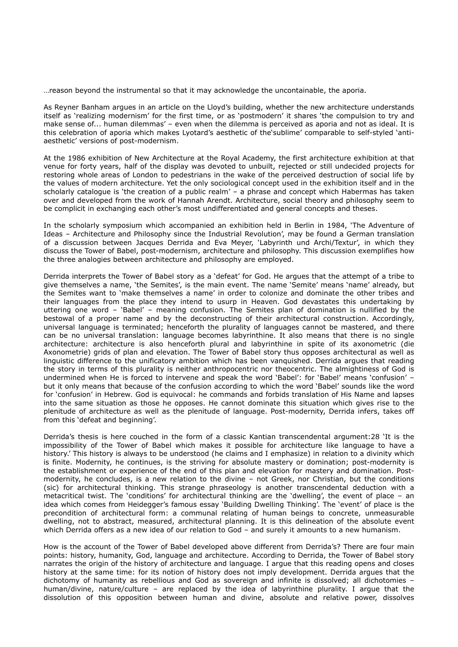…reason beyond the instrumental so that it may acknowledge the uncontainable, the aporia.

As Reyner Banham argues in an article on the Lloyd's building, whether the new architecture understands itself as 'realizing modernism' for the first time, or as 'postmodern' it shares 'the compulsion to try and make sense of... human dilemmas' – even when the dilemma is perceived as aporia and not as ideal. It is this celebration of aporia which makes Lyotard's aesthetic of the'sublime' comparable to self-styled 'antiaesthetic' versions of post-modernism.

At the 1986 exhibition of New Architecture at the Royal Academy, the first architecture exhibition at that venue for forty years, half of the display was devoted to unbuilt, rejected or still undecided projects for restoring whole areas of London to pedestrians in the wake of the perceived destruction of social life by the values of modern architecture. Yet the only sociological concept used in the exhibition itself and in the scholarly catalogue is 'the creation of a public realm' – a phrase and concept which Habermas has taken over and developed from the work of Hannah Arendt. Architecture, social theory and philosophy seem to be complicit in exchanging each other's most undifferentiated and general concepts and theses.

In the scholarly symposium which accompanied an exhibition held in Berlin in 1984, 'The Adventure of Ideas – Architecture and Philosophy since the Industrial Revolution', may be found a German translation of a discussion between Jacques Derrida and Eva Meyer, 'Labyrinth und Archi/Textur', in which they discuss the Tower of Babel, post-modernism, architecture and philosophy. This discussion exemplifies how the three analogies between architecture and philosophy are employed.

Derrida interprets the Tower of Babel story as a 'defeat' for God. He argues that the attempt of a tribe to give themselves a name, 'the Semites', is the main event. The name 'Semite' means 'name' already, but the Semites want to 'make themselves a name' in order to colonize and dominate the other tribes and their languages from the place they intend to usurp in Heaven. God devastates this undertaking by uttering one word – 'Babel' – meaning confusion. The Semites plan of domination is nullified by the bestowal of a proper name and by the deconstructing of their architectural construction. Accordingly, universal language is terminated; henceforth the plurality of languages cannot be mastered, and there can be no universal translation: language becomes labyrinthine. It also means that there is no single architecture: architecture is also henceforth plural and labyrinthine in spite of its axonometric (die Axonometrie) grids of plan and elevation. The Tower of Babel story thus opposes architectural as well as linguistic difference to the unificatory ambition which has been vanquished. Derrida argues that reading the story in terms of this plurality is neither anthropocentric nor theocentric. The almightiness of God is undermined when He is forced to intervene and speak the word 'Babel': for 'Babel' means 'confusion' – but it only means that because of the confusion according to which the word 'Babel' sounds like the word for 'confusion' in Hebrew. God is equivocal: he commands and forbids translation of His Name and lapses into the same situation as those he opposes. He cannot dominate this situation which gives rise to the plenitude of architecture as well as the plenitude of language. Post-modernity, Derrida infers, takes off from this 'defeat and beginning'.

Derrida's thesis is here couched in the form of a classic Kantian transcendental argument:28 'It is the impossibility of the Tower of Babel which makes it possible for architecture like language to have a history.' This history is always to be understood (he claims and I emphasize) in relation to a divinity which is finite. Modernity, he continues, is the striving for absolute mastery or domination; post-modernity is the establishment or experience of the end of this plan and elevation for mastery and domination. Postmodernity, he concludes, is a new relation to the divine – not Greek, nor Christian, but the conditions (sic) for architectural thinking. This strange phraseology is another transcendental deduction with a metacritical twist. The 'conditions' for architectural thinking are the 'dwelling', the event of place – an idea which comes from Heidegger's famous essay 'Building Dwelling Thinking'. The 'event' of place is the precondition of architectural form: a communal relating of human beings to concrete, unmeasurable dwelling, not to abstract, measured, architectural planning. It is this delineation of the absolute event which Derrida offers as a new idea of our relation to God – and surely it amounts to a new humanism.

How is the account of the Tower of Babel developed above different from Derrida's? There are four main points: history, humanity, God, language and architecture. According to Derrida, the Tower of Babel story narrates the origin of the history of architecture and language. I argue that this reading opens and closes history at the same time: for its notion of history does not imply development. Derrida argues that the dichotomy of humanity as rebellious and God as sovereign and infinite is dissolved; all dichotomies – human/divine, nature/culture – are replaced by the idea of labyrinthine plurality. I argue that the dissolution of this opposition between human and divine, absolute and relative power, dissolves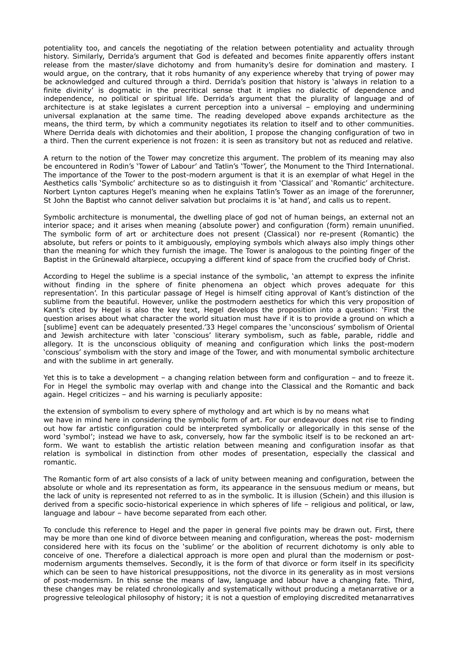potentiality too, and cancels the negotiating of the relation between potentiality and actuality through history. Similarly, Derrida's argument that God is defeated and becomes finite apparently offers instant release from the master/slave dichotomy and from humanity's desire for domination and mastery. I would argue, on the contrary, that it robs humanity of any experience whereby that trying of power may be acknowledged and cultured through a third. Derrida's position that history is 'always in relation to a finite divinity' is dogmatic in the precritical sense that it implies no dialectic of dependence and independence, no political or spiritual life. Derrida's argument that the plurality of language and of architecture is at stake legislates a current perception into a universal – employing and undermining universal explanation at the same time. The reading developed above expands architecture as the means, the third term, by which a community negotiates its relation to itself and to other communities. Where Derrida deals with dichotomies and their abolition, I propose the changing configuration of two in a third. Then the current experience is not frozen: it is seen as transitory but not as reduced and relative.

A return to the notion of the Tower may concretize this argument. The problem of its meaning may also be encountered in Rodin's 'Tower of Labour' and Tatlin's 'Tower', the Monument to the Third International. The importance of the Tower to the post-modern argument is that it is an exemplar of what Hegel in the Aesthetics calls 'Symbolic' architecture so as to distinguish it from 'Classical' and 'Romantic' architecture. Norbert Lynton captures Hegel's meaning when he explains Tatlin's Tower as an image of the forerunner, St John the Baptist who cannot deliver salvation but proclaims it is 'at hand', and calls us to repent.

Symbolic architecture is monumental, the dwelling place of god not of human beings, an external not an interior space; and it arises when meaning (absolute power) and configuration (form) remain ununified. The symbolic form of art or architecture does not present (Classical) nor re-present (Romantic) the absolute, but refers or points to it ambiguously, employing symbols which always also imply things other than the meaning for which they furnish the image. The Tower is analogous to the pointing finger of the Baptist in the Grünewald altarpiece, occupying a different kind of space from the crucified body of Christ.

According to Hegel the sublime is a special instance of the symbolic, 'an attempt to express the infinite without finding in the sphere of finite phenomena an object which proves adequate for this representation'. In this particular passage of Hegel is himself citing approval of Kant's distinction of the sublime from the beautiful. However, unlike the postmodern aesthetics for which this very proposition of Kant's cited by Hegel is also the key text, Hegel develops the proposition into a question: 'First the question arises about what character the world situation must have if it is to provide a ground on which a [sublime] event can be adequately presented.'33 Hegel compares the 'unconscious' symbolism of Oriental and Jewish architecture with later 'conscious' literary symbolism, such as fable, parable, riddle and allegory. It is the unconscious obliquity of meaning and configuration which links the post-modern 'conscious' symbolism with the story and image of the Tower, and with monumental symbolic architecture and with the sublime in art generally.

Yet this is to take a development – a changing relation between form and configuration – and to freeze it. For in Hegel the symbolic may overlap with and change into the Classical and the Romantic and back again. Hegel criticizes – and his warning is peculiarly apposite:

the extension of symbolism to every sphere of mythology and art which is by no means what we have in mind here in considering the symbolic form of art. For our endeavour does not rise to finding out how far artistic configuration could be interpreted symbolically or allegorically in this sense of the word 'symbol'; instead we have to ask, conversely, how far the symbolic itself is to be reckoned an artform. We want to establish the artistic relation between meaning and configuration insofar as that relation is symbolical in distinction from other modes of presentation, especially the classical and romantic.

The Romantic form of art also consists of a lack of unity between meaning and configuration, between the absolute or whole and its representation as form, its appearance in the sensuous medium or means, but the lack of unity is represented not referred to as in the symbolic. It is illusion (Schein) and this illusion is derived from a specific socio-historical experience in which spheres of life – religious and political, or law, language and labour – have become separated from each other.

To conclude this reference to Hegel and the paper in general five points may be drawn out. First, there may be more than one kind of divorce between meaning and configuration, whereas the post- modernism considered here with its focus on the 'sublime' or the abolition of recurrent dichotomy is only able to conceive of one. Therefore a dialectical approach is more open and plural than the modernism or postmodernism arguments themselves. Secondly, it is the form of that divorce or form itself in its specificity which can be seen to have historical presuppositions, not the divorce in its generality as in most versions of post-modernism. In this sense the means of law, language and labour have a changing fate. Third, these changes may be related chronologically and systematically without producing a metanarrative or a progressive teleological philosophy of history; it is not a question of employing discredited metanarratives